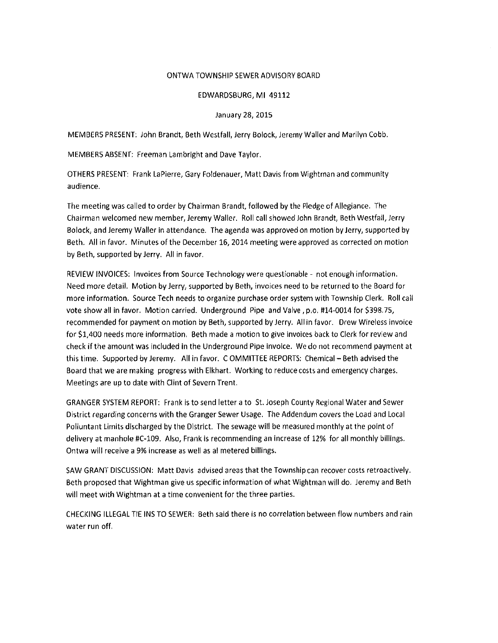#### ONTWA TOWNSHIP SEWER ADVISORY BOARD

#### EDWARDSBURG, MI 49112

#### January 28, 2015

MEMBERS PRESENT: John Brandt, Beth Westfall, Jerry Bolock, Jeremy Waller and Marilyn Cobb.

MEMBERS ABSENT: Freeman Lambright and Dave Taylor.

OTHERS PRESENT: Frank LaPierre, Gary Foldenauer, Matt Davis from Wightman and community audience.

The meeting was called to order by Chairman Brandt, followed by the Pledge of Allegiance. The Chairman welcomed new member, Jeremy Waller. Roll call showed John Brandt, Beth Westfall, Jerry Bolock, and Jeremy Waller in attendance. The agenda was approved on motion by Jerry, supported by Beth. All in favor. Minutes of the December 16, 2014 meeting were approved as corrected on motion by Beth, supported by Jerry. All in favor.

REVIEW INVOICES: Invoices from Source Technology were questionable - not enough information. Need more detail. Motion by Jerry, supported by Beth, invoices need to be returned to the Board for more information. Source Tech needs to organize purchase order system with Township Clerk. Roll call vote show all in favor. Motion carried. Underground Pipe and Valve, p.o. #14-0014 for \$398.75, recommended for payment on motion by Beth, supported by Jerry. All in favor. Drew Wireless invoice for \$1,400 needs more information. Beth made a motion to give invoices back to Clerk for review and check if the amount was included in the Underground Pipe invoice. We do not recommend payment at this time. Supported by Jeremy. All in favor. COMMITTEE REPORTS: Chemical - Beth advised the Board that we are making progress with Elkhart. Working to reduce costs and emergency charges. Meetings are up to date with Clint of Severn Trent.

GRANGER SYSTEM REPORT: Frank is to send letter a to St. Joseph County Regional Water and Sewer District regarding concerns with the Granger Sewer Usage. The Addendum covers the Load and Local Polluntant Limits discharged by the District. The sewage will be measured monthly at the point of delivery at manhole #C-109. Also, Frank is recommending an increase of 12% for all monthly billings. Ontwa will receive a 9% increase as well as al metered billings.

SAW GRANT DISCUSSION: Matt Davis advised areas that the Township can recover costs retroactively. Beth proposed that Wightman give us specific information of what Wightman will do. Jeremy and Beth will meet with Wightman at a time convenient for the three parties.

CHECKING ILLEGAL TIE INS TO SEWER: Beth said there is no correlation between flow numbers and rain water run off.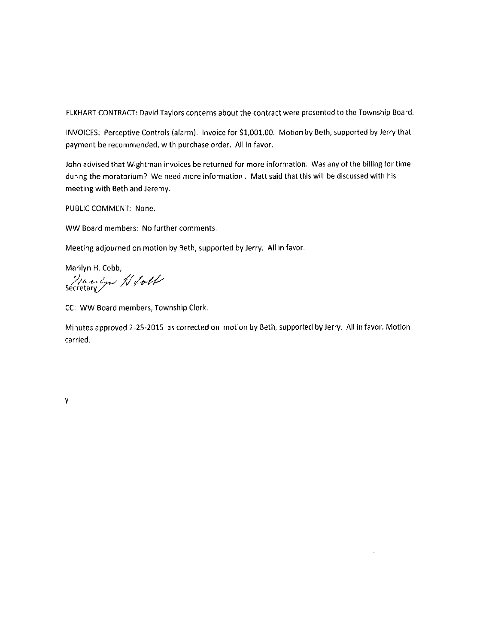ELKHART CONTRACT: David Taylors concerns about the contract were presented to the Township Board.

INVOICES: Perceptive Controls (alarm). Invoice for \$1,001.00. Motion by Beth, supported by Jerry that payment be recommended, with purchase order. All in favor.

John advised that Wightman invoices be returned for more information. Was any of the billing for time during the moratorium? We need more information. Matt said that this will be discussed with his meeting with Beth and Jeremy.

PUBLIC COMMENT: None.

WW Board members: No further comments.

Meeting adjourned on motion by Beth, supported by Jerry. All in favor.

Marilyn H. Cobb, Manly // foll

CC: WW Board members, Township Clerk.

Minutes approved 2-25-2015 as corrected on motion by Beth, supported by Jerry. All in favor. Motion carried.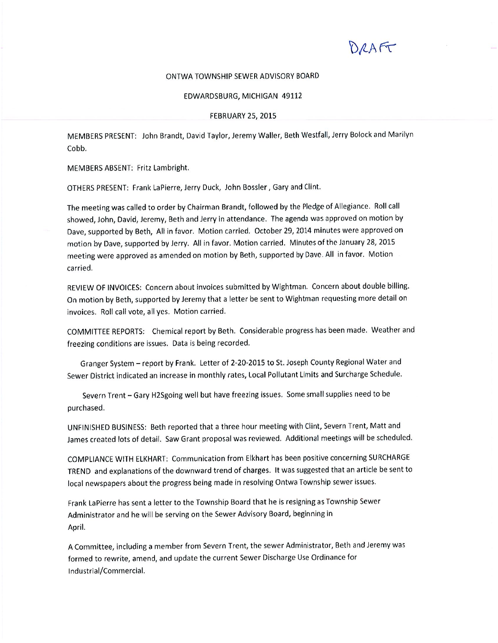ORAFT

#### ONTWA TOWNSHIP SEWER ADVISORY BOARD

#### EDWARDSBURG, MICHIGAN 49112

#### **FEBRUARY 25, 2015**

MEMBERS PRESENT: John Brandt, David Taylor, Jeremy Waller, Beth Westfall, Jerry Bolock and Marilyn Cobb.

MEMBERS ABSENT: Fritz Lambright.

OTHERS PRESENT: Frank LaPierre, Jerry Duck, John Bossler, Gary and Clint.

The meeting was called to order by Chairman Brandt, followed by the Pledge of Allegiance. Roll call showed, John, David, Jeremy, Beth and Jerry in attendance. The agenda was approved on motion by Dave, supported by Beth, All in favor. Motion carried. October 29, 2014 minutes were approved on motion by Dave, supported by Jerry. All in favor. Motion carried. Minutes of the January 28, 2015 meeting were approved as amended on motion by Beth, supported by Dave. All in favor. Motion carried.

REVIEW OF INVOICES: Concern about invoices submitted by Wightman. Concern about double billing. On motion by Beth, supported by Jeremy that a letter be sent to Wightman requesting more detail on invoices. Roll call vote, all yes. Motion carried.

COMMITTEE REPORTS: Chemical report by Beth. Considerable progress has been made. Weather and freezing conditions are issues. Data is being recorded.

Granger System - report by Frank. Letter of 2-20-2015 to St. Joseph County Regional Water and Sewer District indicated an increase in monthly rates, Local Pollutant Limits and Surcharge Schedule.

Severn Trent - Gary H2Sgoing well but have freezing issues. Some small supplies need to be purchased.

UNFINISHED BUSINESS: Beth reported that a three hour meeting with Clint, Severn Trent, Matt and James created lots of detail. Saw Grant proposal was reviewed. Additional meetings will be scheduled.

COMPLIANCE WITH ELKHART: Communication from Elkhart has been positive concerning SURCHARGE TREND and explanations of the downward trend of charges. It was suggested that an article be sent to local newspapers about the progress being made in resolving Ontwa Township sewer issues.

Frank LaPierre has sent a letter to the Township Board that he is resigning as Township Sewer Administrator and he will be serving on the Sewer Advisory Board, beginning in April.

A Committee, including a member from Severn Trent, the sewer Administrator, Beth and Jeremy was formed to rewrite, amend, and update the current Sewer Discharge Use Ordinance for Industrial/Commercial.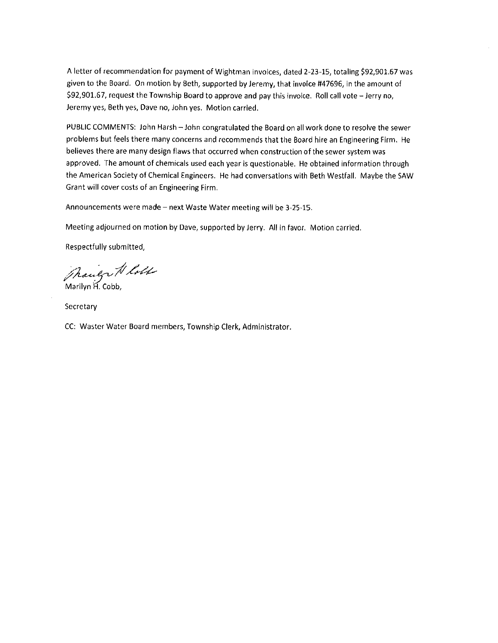A letter of recommendation for payment of Wightman invoices, dated 2-23-15, totaling \$92,901.67 was given to the Board. On motion by Beth, supported by Jeremy, that invoice #47696, in the amount of \$92,901.67, request the Township Board to approve and pay this invoice. Roll call vote - Jerry no, Jeremy yes, Beth yes, Dave no, John yes. Motion carried.

PUBLIC COMMENTS: John Harsh - John congratulated the Board on all work done to resolve the sewer problems but feels there many concerns and recommends that the Board hire an Engineering Firm. He believes there are many design flaws that occurred when construction of the sewer system was approved. The amount of chemicals used each year is questionable. He obtained information through the American Society of Chemical Engineers. He had conversations with Beth Westfall. Maybe the SAW Grant will cover costs of an Engineering Firm.

Announcements were made - next Waste Water meeting will be 3-25-15.

Meeting adjourned on motion by Dave, supported by Jerry. All in favor. Motion carried.

Respectfully submitted,

Though N loll

Secretary

CC: Waster Water Board members, Township Clerk, Administrator.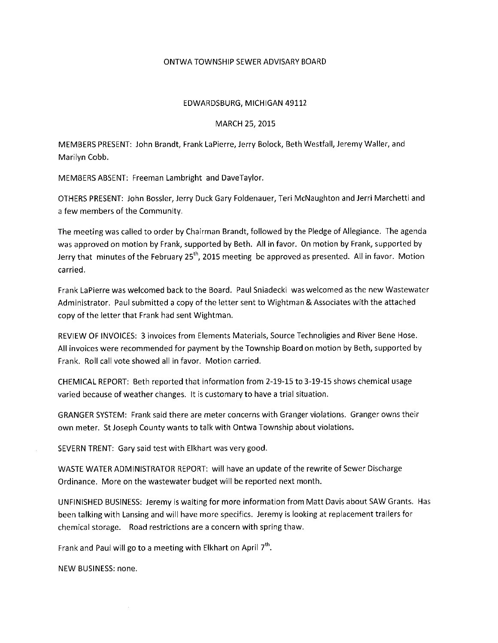### ONTWA TOWNSHIP SEWER ADVISARY BOARD

### EDWARDSBURG, MICHIGAN 49112

#### MARCH 25, 2015

MEMBERS PRESENT: John Brandt, Frank LaPierre, Jerry Bolock, Beth Westfall, Jeremy Waller, and Marilyn Cobb.

MEMBERS ABSENT: Freeman Lambright and DaveTaylor.

OTHERS PRESENT: John Bossler, Jerry Duck Gary Foldenauer, Teri McNaughton and Jerri Marchetti and a few members of the Community.

The meeting was called to order by Chairman Brandt, followed by the Pledge of Allegiance. The agenda was approved on motion by Frank, supported by Beth. All in favor. On motion by Frank, supported by Jerry that minutes of the February  $25<sup>th</sup>$ , 2015 meeting be approved as presented. All in favor. Motion carried.

Frank LaPierre was welcomed back to the Board. Paul Sniadecki was welcomed as the new Wastewater Administrator. Paul submitted a copy of the letter sent to Wightman & Associates with the attached copy of the letter that Frank had sent Wightman.

REVIEW OF INVOICES: 3 invoices from Elements Materials, Source Technoligies and River Bene Hose. All invoices were recommended for payment by the Township Board on motion by Beth, supported by Frank. Roll call vote showed all in favor. Motion carried.

CHEMICAL REPORT: Beth reported that information from 2-19-15 to 3-19-15 shows chemical usage varied because of weather changes. It is customary to have a trial situation.

GRANGER SYSTEM: Frank said there are meter concerns with Granger violations. Granger owns their own meter. St Joseph County wants to talk with Ontwa Township about violations.

SEVERN TRENT: Gary said test with Elkhart was very good.

WASTE WATER ADMINISTRATOR REPORT: will have an update of the rewrite of Sewer Discharge Ordinance. More on the wastewater budget will be reported next month.

UNFINISHED BUSINESS: Jeremy is waiting for more information from Matt Davis about SAW Grants. Has been talking with Lansing and will have more specifics. Jeremy is looking at replacement trailers for chemical storage. Road restrictions are a concern with spring thaw.

Frank and Paul will go to a meeting with Elkhart on April 7<sup>th</sup>.

NEW BUSINESS: none.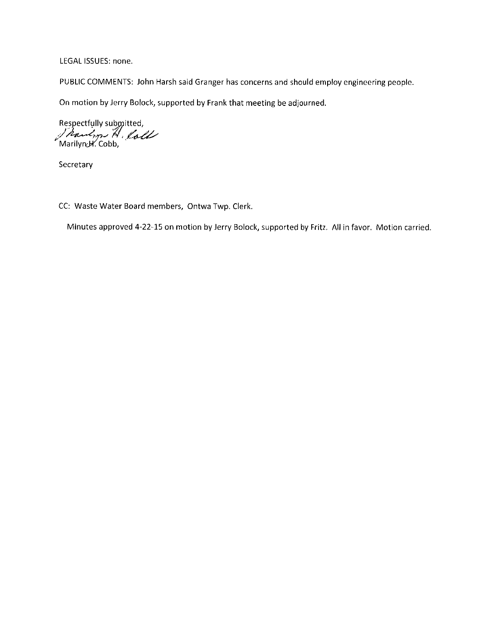LEGAL ISSUES: none.

PUBLIC COMMENTS: John Harsh said Granger has concerns and should employ engineering people.

On motion by Jerry Bolock, supported by Frank that meeting be adjourned.

Respectfully submitted,<br>/ Rawlon H. loll

Secretary

CC: Waste Water Board members, Ontwa Twp. Clerk.

Minutes approved 4-22-15 on motion by Jerry Bolock, supported by Fritz. All in favor. Motion carried.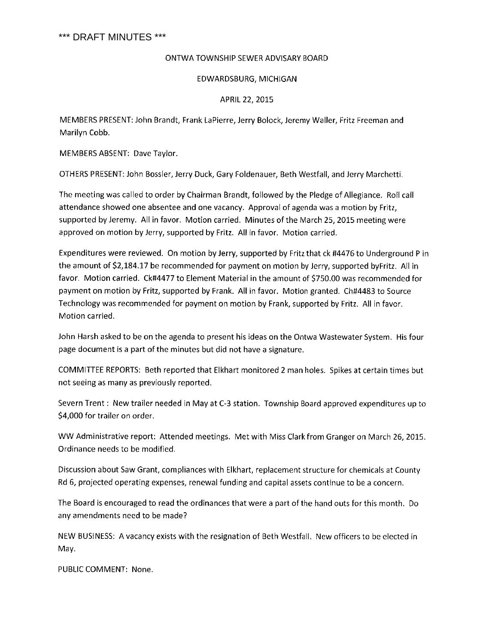# \*\*\* DRAFT MINUTES \*\*\*

# ONTWA TOWNSHIP SEWER ADVISARY BOARD

# EDWARDSBURG, MICHIGAN

# APRIL 22, 2015

MEMBERS PRESENT: John Brandt, Frank LaPierre, Jerry Bolock, Jeremy Waller, Fritz Freeman and Marilyn Cobb.

MEMBERS ABSENT: Dave Taylor.

OTHERS PRESENT: John Bossler, Jerry Duck, Gary Foldenauer, Beth Westfall, and Jerry Marchetti.

The meeting was called to order by Chairman Brandt, followed by the Pledge of Allegiance. Roll call attendance showed one absentee and one vacancy. Approval of agenda was a motion by Fritz, supported by Jeremy. All in favor. Motion carried. Minutes of the March 25, 2015 meeting were approved on motion by Jerry, supported by Fritz. All in favor. Motion carried.

Expenditures were reviewed. On motion by Jerry, supported by Fritz that ck #4476 to Underground P in the amount of \$2,184.17 be recommended for payment on motion by Jerry, supported byFritz. All in favor. Motion carried. Ck#4477 to Element Material in the amount of \$750.00 was recommended for payment on motion by Fritz, supported by Frank. All in favor. Motion granted. Ch#4483 to Source Technology was recommended for payment on motion by Frank, supported by Fritz. All in favor. Motion carried.

John Harsh asked to be on the agenda to present his ideas on the Ontwa Wastewater System. His four page document is a part of the minutes but did not have a signature.

COMMITTEE REPORTS: Beth reported that Elkhart monitored 2 man holes. Spikes at certain times but not seeing as many as previously reported.

Severn Trent: New trailer needed in May at C-3 station. Township Board approved expenditures up to \$4,000 for trailer on order.

WW Administrative report: Attended meetings. Met with Miss Clark from Granger on March 26, 2015. Ordinance needs to be modified.

Discussion about Saw Grant, compliances with Elkhart, replacement structure for chemicals at County Rd 6, projected operating expenses, renewal funding and capital assets continue to be a concern.

The Board is encouraged to read the ordinances that were a part of the hand outs for this month. Do any amendments need to be made?

NEW BUSINESS: A vacancy exists with the resignation of Beth Westfall. New officers to be elected in May.

PUBLIC COMMENT: None.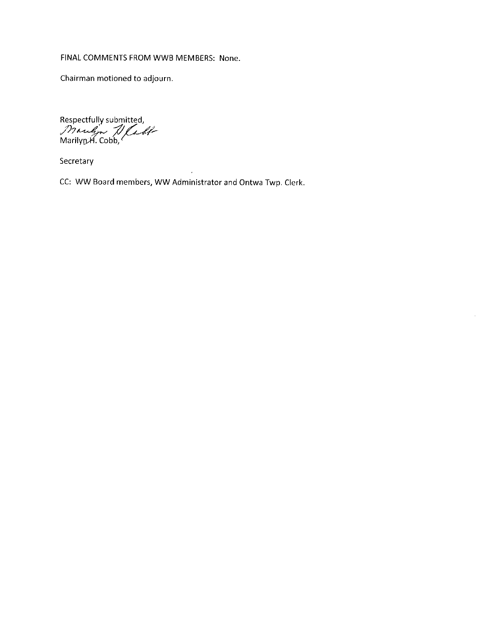# FINAL COMMENTS FROM WWB MEMBERS: None.

Chairman motioned to adjourn.

Respectfully submitted,<br>Mangon Nadi<br>Marilyn H. Cobb,

Secretary

CC: WW Board members, WW Administrator and Ontwa Twp. Clerk.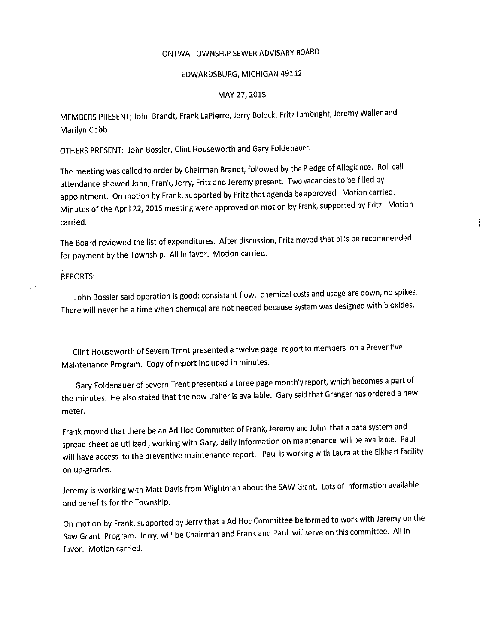# ONTWA TOWNSHIP SEWER ADVISARY BOARD

#### EDWARDSBURG, MICHIGAN 49112

#### MAY 27, 2015

MEMBERS PRESENT; John Brandt, Frank LaPierre, Jerry Bolock, Fritz Lambright, Jeremy Waller and Marilyn Cobb

OTHERS PRESENT: John Bossler, Clint Houseworth and Gary Foldenauer.

The meeting was called to order by Chairman Brandt, followed by the Pledge of Allegiance. Roll call attendance showed John, Frank, Jerry, Fritz and Jeremy present. Two vacancies to be filled by appointment. On motion by Frank, supported by Fritz that agenda be approved. Motion carried. Minutes of the April 22, 2015 meeting were approved on motion by Frank, supported by Fritz. Motion carried.

The Board reviewed the list of expenditures. After discussion, Fritz moved that bills be recommended for payment by the Township. All in favor. Motion carried.

**REPORTS:** 

John Bossler said operation is good: consistant flow, chemical costs and usage are down, no spikes. There will never be a time when chemical are not needed because system was designed with bioxides.

Clint Houseworth of Severn Trent presented a twelve page report to members on a Preventive Maintenance Program. Copy of report included in minutes.

Gary Foldenauer of Severn Trent presented a three page monthly report, which becomes a part of the minutes. He also stated that the new trailer is available. Gary said that Granger has ordered a new meter.

Frank moved that there be an Ad Hoc Committee of Frank, Jeremy and John that a data system and spread sheet be utilized, working with Gary, daily information on maintenance will be available. Paul will have access to the preventive maintenance report. Paul is working with Laura at the Elkhart facility on up-grades.

Jeremy is working with Matt Davis from Wightman about the SAW Grant. Lots of information available and benefits for the Township.

On motion by Frank, supported by Jerry that a Ad Hoc Committee be formed to work with Jeremy on the Saw Grant Program. Jerry, will be Chairman and Frank and Paul will serve on this committee. All in favor. Motion carried.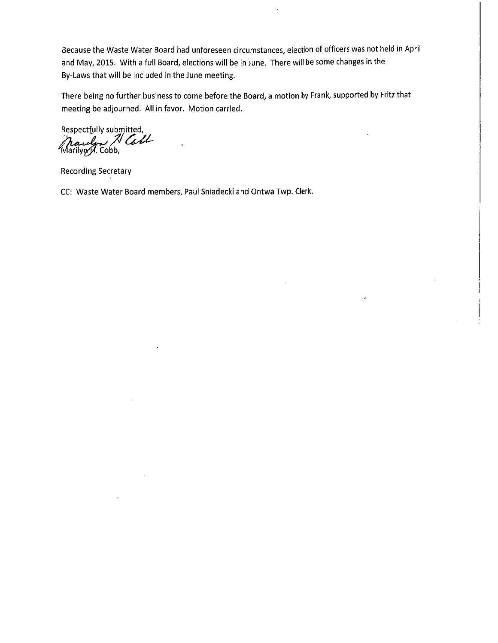Because the Waste Water Board had unforeseen circumstances, election of officers was not held in April and May, 2015. With a full Board, elections will be in June. There will be some changes in the By-Laws that will be included in the June meeting.

There being no further business to come before the Board, a motion by Frank, supported by Fritz that meeting be adjourned. All in favor. Motion carried.

Respectfully submitted, Marilyn 71 Call

**Recording Secretary** 

CC: Waste Water Board members, Paul Sniadecki and Ontwa Twp. Clerk.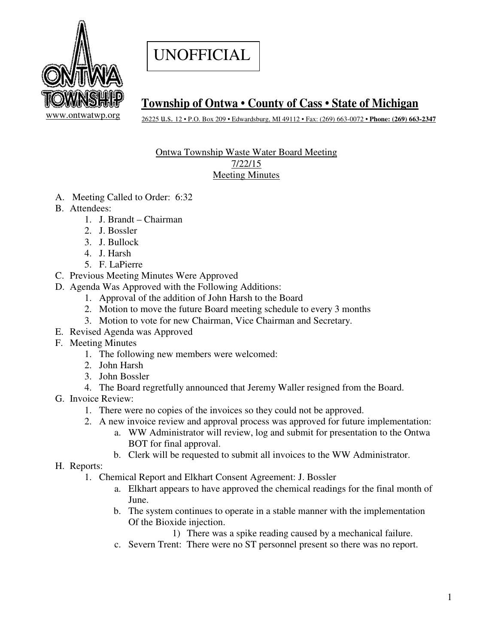# UNOFFICIAL



# **Township of Ontwa • County of Cass • State of Michigan**

26225 u.s. 12 • P.O. Box 209 • Edwardsburg, MI 49112 • Fax: (269) 663-0072 **• Phone: (269) 663-2347** 

# Ontwa Township Waste Water Board Meeting 7/22/15 Meeting Minutes

- A. Meeting Called to Order: 6:32
- B. Attendees:
	- 1. J. Brandt Chairman
	- 2. J. Bossler
	- 3. J. Bullock
	- 4. J. Harsh
	- 5. F. LaPierre
- C. Previous Meeting Minutes Were Approved
- D. Agenda Was Approved with the Following Additions:
	- 1. Approval of the addition of John Harsh to the Board
	- 2. Motion to move the future Board meeting schedule to every 3 months
	- 3. Motion to vote for new Chairman, Vice Chairman and Secretary.
- E. Revised Agenda was Approved
- F. Meeting Minutes
	- 1. The following new members were welcomed:
	- 2. John Harsh
	- 3. John Bossler
	- 4. The Board regretfully announced that Jeremy Waller resigned from the Board.
- G. Invoice Review:
	- 1. There were no copies of the invoices so they could not be approved.
	- 2. A new invoice review and approval process was approved for future implementation:
		- a. WW Administrator will review, log and submit for presentation to the Ontwa BOT for final approval.
		- b. Clerk will be requested to submit all invoices to the WW Administrator.
- H. Reports:
	- 1. Chemical Report and Elkhart Consent Agreement: J. Bossler
		- a. Elkhart appears to have approved the chemical readings for the final month of June.
		- b. The system continues to operate in a stable manner with the implementation Of the Bioxide injection.
			- 1) There was a spike reading caused by a mechanical failure.
		- c. Severn Trent: There were no ST personnel present so there was no report.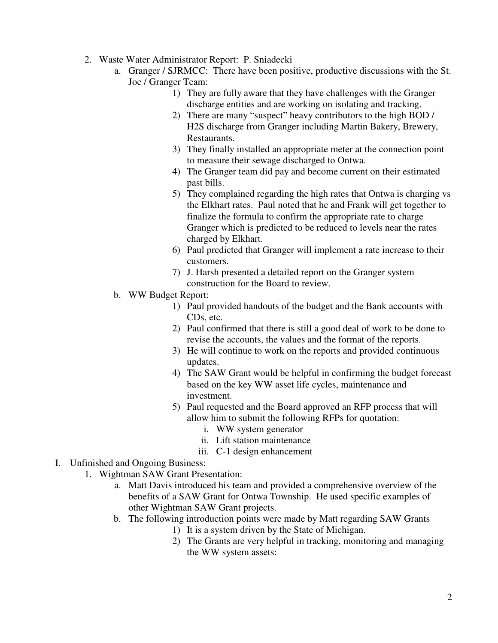- 2. Waste Water Administrator Report: P. Sniadecki
	- a. Granger / SJRMCC: There have been positive, productive discussions with the St. Joe / Granger Team:
		- 1) They are fully aware that they have challenges with the Granger discharge entities and are working on isolating and tracking.
		- 2) There are many "suspect" heavy contributors to the high BOD / H2S discharge from Granger including Martin Bakery, Brewery, Restaurants.
		- 3) They finally installed an appropriate meter at the connection point to measure their sewage discharged to Ontwa.
		- 4) The Granger team did pay and become current on their estimated past bills.
		- 5) They complained regarding the high rates that Ontwa is charging vs the Elkhart rates. Paul noted that he and Frank will get together to finalize the formula to confirm the appropriate rate to charge Granger which is predicted to be reduced to levels near the rates charged by Elkhart.
		- 6) Paul predicted that Granger will implement a rate increase to their customers.
		- 7) J. Harsh presented a detailed report on the Granger system construction for the Board to review.
	- b. WW Budget Report:
		- 1) Paul provided handouts of the budget and the Bank accounts with CDs, etc.
		- 2) Paul confirmed that there is still a good deal of work to be done to revise the accounts, the values and the format of the reports.
		- 3) He will continue to work on the reports and provided continuous updates.
		- 4) The SAW Grant would be helpful in confirming the budget forecast based on the key WW asset life cycles, maintenance and investment.
		- 5) Paul requested and the Board approved an RFP process that will allow him to submit the following RFPs for quotation:
			- i. WW system generator
			- ii. Lift station maintenance
			- iii. C-1 design enhancement
- I. Unfinished and Ongoing Business:
	- 1. Wightman SAW Grant Presentation:
		- a. Matt Davis introduced his team and provided a comprehensive overview of the benefits of a SAW Grant for Ontwa Township. He used specific examples of other Wightman SAW Grant projects.
		- b. The following introduction points were made by Matt regarding SAW Grants
			- 1) It is a system driven by the State of Michigan.
			- 2) The Grants are very helpful in tracking, monitoring and managing the WW system assets: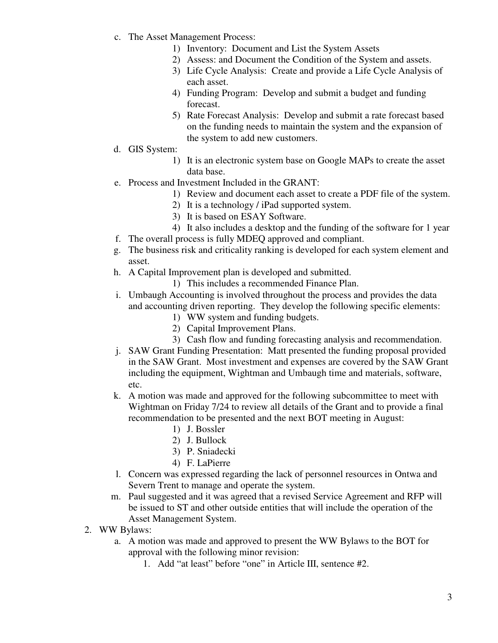- c. The Asset Management Process:
	- 1) Inventory: Document and List the System Assets
	- 2) Assess: and Document the Condition of the System and assets.
	- 3) Life Cycle Analysis: Create and provide a Life Cycle Analysis of each asset.
	- 4) Funding Program: Develop and submit a budget and funding forecast.
	- 5) Rate Forecast Analysis: Develop and submit a rate forecast based on the funding needs to maintain the system and the expansion of the system to add new customers.
- d. GIS System:
	- 1) It is an electronic system base on Google MAPs to create the asset data base.
- e. Process and Investment Included in the GRANT:
	- 1) Review and document each asset to create a PDF file of the system.
	- 2) It is a technology / iPad supported system.
	- 3) It is based on ESAY Software.
	- 4) It also includes a desktop and the funding of the software for 1 year
- f. The overall process is fully MDEQ approved and compliant.
- g. The business risk and criticality ranking is developed for each system element and asset.
- h. A Capital Improvement plan is developed and submitted.
	- 1) This includes a recommended Finance Plan.
- i. Umbaugh Accounting is involved throughout the process and provides the data and accounting driven reporting. They develop the following specific elements:
	- 1) WW system and funding budgets.
	- 2) Capital Improvement Plans.
	- 3) Cash flow and funding forecasting analysis and recommendation.
- j. SAW Grant Funding Presentation: Matt presented the funding proposal provided in the SAW Grant. Most investment and expenses are covered by the SAW Grant including the equipment, Wightman and Umbaugh time and materials, software, etc.
- k. A motion was made and approved for the following subcommittee to meet with Wightman on Friday 7/24 to review all details of the Grant and to provide a final recommendation to be presented and the next BOT meeting in August:
	- 1) J. Bossler
	- 2) J. Bullock
	- 3) P. Sniadecki
	- 4) F. LaPierre
- l. Concern was expressed regarding the lack of personnel resources in Ontwa and Severn Trent to manage and operate the system.
- m. Paul suggested and it was agreed that a revised Service Agreement and RFP will be issued to ST and other outside entities that will include the operation of the Asset Management System.
- 2. WW Bylaws:
	- a. A motion was made and approved to present the WW Bylaws to the BOT for approval with the following minor revision:
		- 1. Add "at least" before "one" in Article III, sentence #2.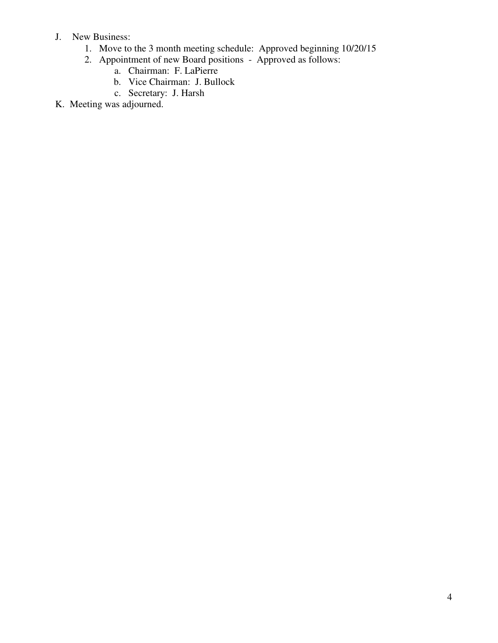- J. New Business:
	- 1. Move to the 3 month meeting schedule: Approved beginning 10/20/15
	- 2. Appointment of new Board positions Approved as follows:
		- a. Chairman: F. LaPierre
		- b. Vice Chairman: J. Bullock
		- c. Secretary: J. Harsh
- K. Meeting was adjourned.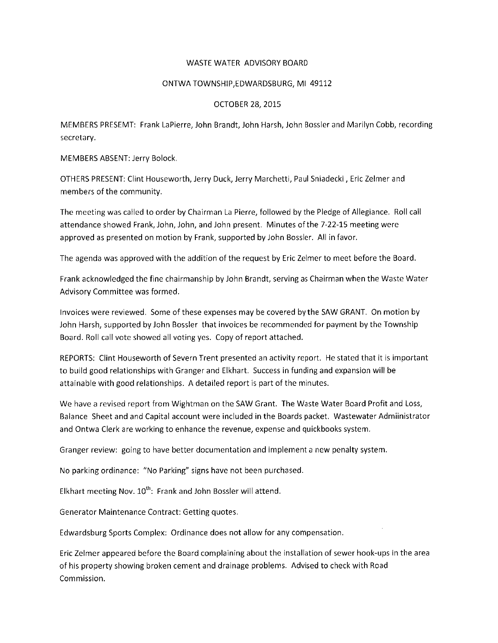# **WASTE WATER ADVISORY BOARD**

# ONTWA TOWNSHIP EDWARDSBURG, MI 49112

# **OCTOBER 28, 2015**

MEMBERS PRESEMT: Frank LaPierre, John Brandt, John Harsh, John Bossler and Marilyn Cobb, recording secretary.

MEMBERS ABSENT: Jerry Bolock.

OTHERS PRESENT: Clint Houseworth, Jerry Duck, Jerry Marchetti, Paul Sniadecki, Eric Zelmer and members of the community.

The meeting was called to order by Chairman La Pierre, followed by the Pledge of Allegiance. Roll call attendance showed Frank, John, John, and John present. Minutes of the 7-22-15 meeting were approved as presented on motion by Frank, supported by John Bossler. All in favor.

The agenda was approved with the addition of the request by Eric Zelmer to meet before the Board.

Frank acknowledged the fine chairmanship by John Brandt, serving as Chairman when the Waste Water Advisory Committee was formed.

Invoices were reviewed. Some of these expenses may be covered by the SAW GRANT. On motion by John Harsh, supported by John Bossler that invoices be recommended for payment by the Township Board. Roll call vote showed all voting yes. Copy of report attached.

REPORTS: Clint Houseworth of Severn Trent presented an activity report. He stated that it is important to build good relationships with Granger and Elkhart. Success in funding and expansion will be attainable with good relationships. A detailed report is part of the minutes.

We have a revised report from Wightman on the SAW Grant. The Waste Water Board Profit and Loss, Balance Sheet and and Capital account were included in the Boards packet. Wastewater Admiinistrator and Ontwa Clerk are working to enhance the revenue, expense and quickbooks system.

Granger review: going to have better documentation and implement a new penalty system.

No parking ordinance: "No Parking" signs have not been purchased.

Elkhart meeting Nov. 10<sup>th</sup>: Frank and John Bossler will attend.

Generator Maintenance Contract: Getting quotes.

Edwardsburg Sports Complex: Ordinance does not allow for any compensation.

Eric Zelmer appeared before the Board complaining about the installation of sewer hook-ups in the area of his property showing broken cement and drainage problems. Advised to check with Road Commission.